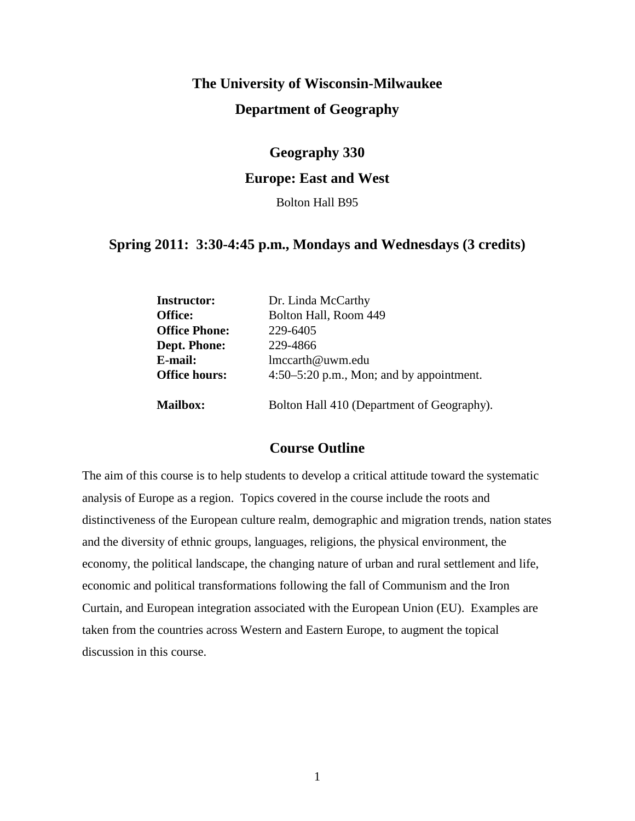# **The University of Wisconsin-Milwaukee Department of Geography**

# **Geography 330**

# **Europe: East and West**

Bolton Hall B95

# **Spring 2011: 3:30-4:45 p.m., Mondays and Wednesdays (3 credits)**

| <b>Instructor:</b>   | Dr. Linda McCarthy                         |
|----------------------|--------------------------------------------|
| Office:              | Bolton Hall, Room 449                      |
| <b>Office Phone:</b> | 229-6405                                   |
| Dept. Phone:         | 229-4866                                   |
| E-mail:              | lmccarth@uwm.edu                           |
| <b>Office hours:</b> | $4:50-5:20$ p.m., Mon; and by appointment. |
| <b>Mailbox:</b>      | Bolton Hall 410 (Department of Geography). |

# **Course Outline**

The aim of this course is to help students to develop a critical attitude toward the systematic analysis of Europe as a region. Topics covered in the course include the roots and distinctiveness of the European culture realm, demographic and migration trends, nation states and the diversity of ethnic groups, languages, religions, the physical environment, the economy, the political landscape, the changing nature of urban and rural settlement and life, economic and political transformations following the fall of Communism and the Iron Curtain, and European integration associated with the European Union (EU). Examples are taken from the countries across Western and Eastern Europe, to augment the topical discussion in this course.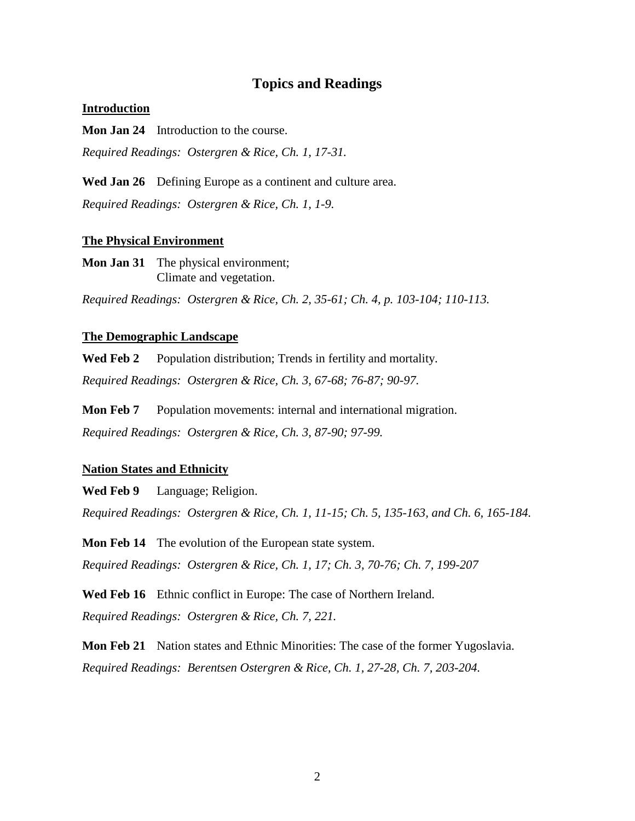# **Topics and Readings**

#### **Introduction**

**Mon Jan 24** Introduction to the course. *Required Readings: Ostergren & Rice, Ch. 1, 17-31.*

**Wed Jan 26** Defining Europe as a continent and culture area. *Required Readings: Ostergren & Rice, Ch. 1, 1-9.*

#### **The Physical Environment**

**Mon Jan 31** The physical environment; Climate and vegetation.

*Required Readings: Ostergren & Rice, Ch. 2, 35-61; Ch. 4, p. 103-104; 110-113.*

## **The Demographic Landscape**

**Wed Feb 2** Population distribution; Trends in fertility and mortality.

*Required Readings: Ostergren & Rice, Ch. 3, 67-68; 76-87; 90-97.*

**Mon Feb 7** Population movements: internal and international migration. *Required Readings: Ostergren & Rice, Ch. 3, 87-90; 97-99.*

#### **Nation States and Ethnicity**

**Wed Feb 9** Language; Religion.

*Required Readings: Ostergren & Rice, Ch. 1, 11-15; Ch. 5, 135-163, and Ch. 6, 165-184.*

**Mon Feb 14** The evolution of the European state system. *Required Readings: Ostergren & Rice, Ch. 1, 17; Ch. 3, 70-76; Ch. 7, 199-207*

**Wed Feb 16** Ethnic conflict in Europe: The case of Northern Ireland. *Required Readings: Ostergren & Rice, Ch. 7, 221.*

**Mon Feb 21** Nation states and Ethnic Minorities: The case of the former Yugoslavia. *Required Readings: Berentsen Ostergren & Rice, Ch. 1, 27-28, Ch. 7, 203-204.*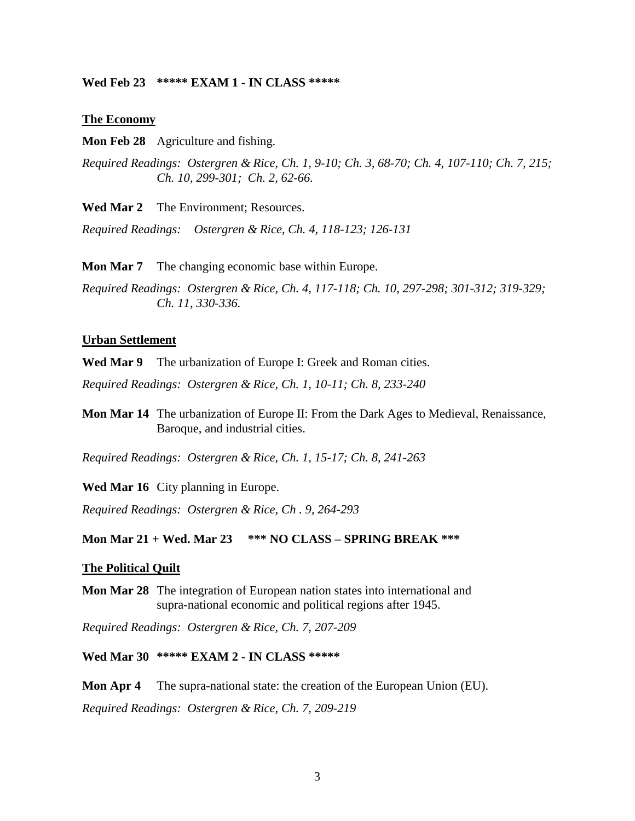#### **Wed Feb 23 \*\*\*\*\* EXAM 1 - IN CLASS \*\*\*\*\***

#### **The Economy**

**Mon Feb 28** Agriculture and fishing.

*Required Readings: Ostergren & Rice, Ch. 1, 9-10; Ch. 3, 68-70; Ch. 4, 107-110; Ch. 7, 215; Ch. 10, 299-301; Ch. 2, 62-66.*

**Wed Mar 2** The Environment; Resources.

*Required Readings: Ostergren & Rice, Ch. 4, 118-123; 126-131*

**Mon Mar 7** The changing economic base within Europe.

*Required Readings: Ostergren & Rice, Ch. 4, 117-118; Ch. 10, 297-298; 301-312; 319-329; Ch. 11, 330-336.*

## **Urban Settlement**

**Wed Mar 9** The urbanization of Europe I: Greek and Roman cities.

*Required Readings: Ostergren & Rice, Ch. 1, 10-11; Ch. 8, 233-240*

**Mon Mar 14** The urbanization of Europe II: From the Dark Ages to Medieval, Renaissance, Baroque, and industrial cities.

*Required Readings: Ostergren & Rice, Ch. 1, 15-17; Ch. 8, 241-263*

**Wed Mar 16** City planning in Europe.

*Required Readings: Ostergren & Rice, Ch . 9, 264-293*

#### **Mon Mar 21 + Wed. Mar 23 \*\*\* NO CLASS – SPRING BREAK \*\*\***

#### **The Political Quilt**

**Mon Mar 28** The integration of European nation states into international and supra-national economic and political regions after 1945.

*Required Readings: Ostergren & Rice, Ch. 7, 207-209*

## **Wed Mar 30 \*\*\*\*\* EXAM 2 - IN CLASS \*\*\*\*\***

**Mon Apr 4** The supra-national state: the creation of the European Union (EU). *Required Readings: Ostergren & Rice, Ch. 7, 209-219*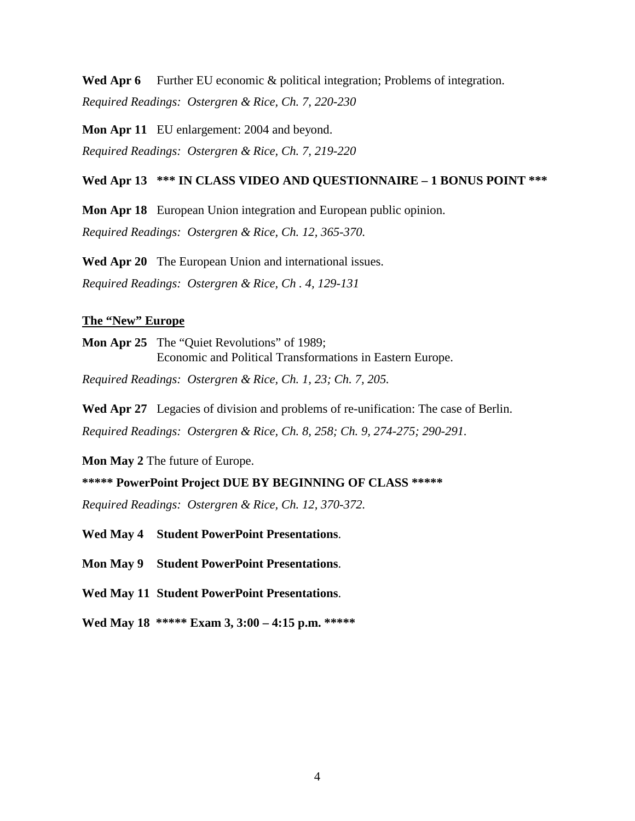**Wed Apr 6** Further EU economic & political integration; Problems of integration. *Required Readings: Ostergren & Rice, Ch. 7, 220-230*

**Mon Apr 11** EU enlargement: 2004 and beyond. *Required Readings: Ostergren & Rice, Ch. 7, 219-220*

## **Wed Apr 13 \*\*\* IN CLASS VIDEO AND QUESTIONNAIRE – 1 BONUS POINT \*\*\***

**Mon Apr 18** European Union integration and European public opinion. *Required Readings: Ostergren & Rice, Ch. 12, 365-370.*

**Wed Apr 20** The European Union and international issues. *Required Readings: Ostergren & Rice, Ch . 4, 129-131*

#### **The "New" Europe**

**Mon Apr 25** The "Quiet Revolutions" of 1989; Economic and Political Transformations in Eastern Europe.

*Required Readings: Ostergren & Rice, Ch. 1, 23; Ch. 7, 205.*

**Wed Apr 27** Legacies of division and problems of re-unification: The case of Berlin. *Required Readings: Ostergren & Rice, Ch. 8, 258; Ch. 9, 274-275; 290-291.*

**Mon May 2** The future of Europe.

**\*\*\*\*\* PowerPoint Project DUE BY BEGINNING OF CLASS \*\*\*\*\***

*Required Readings: Ostergren & Rice, Ch. 12, 370-372.*

**Wed May 4 Student PowerPoint Presentations**.

**Mon May 9 Student PowerPoint Presentations**.

**Wed May 11 Student PowerPoint Presentations**.

**Wed May 18 \*\*\*\*\* Exam 3, 3:00 – 4:15 p.m. \*\*\*\*\***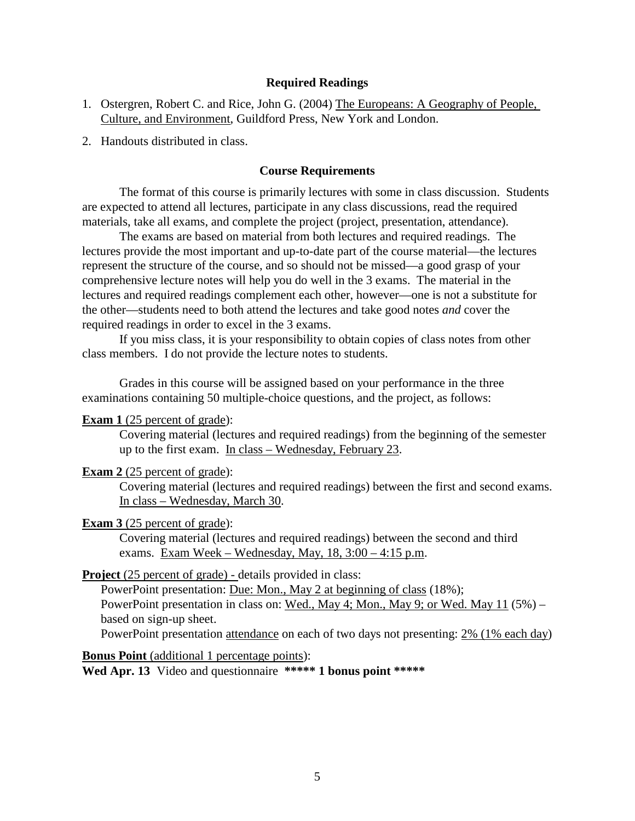## **Required Readings**

- 1. Ostergren, Robert C. and Rice, John G. (2004) The Europeans: A Geography of People, Culture, and Environment, Guildford Press, New York and London.
- 2. Handouts distributed in class.

## **Course Requirements**

The format of this course is primarily lectures with some in class discussion. Students are expected to attend all lectures, participate in any class discussions, read the required materials, take all exams, and complete the project (project, presentation, attendance).

The exams are based on material from both lectures and required readings. The lectures provide the most important and up-to-date part of the course material—the lectures represent the structure of the course, and so should not be missed—a good grasp of your comprehensive lecture notes will help you do well in the 3 exams. The material in the lectures and required readings complement each other, however—one is not a substitute for the other—students need to both attend the lectures and take good notes *and* cover the required readings in order to excel in the 3 exams.

If you miss class, it is your responsibility to obtain copies of class notes from other class members. I do not provide the lecture notes to students.

Grades in this course will be assigned based on your performance in the three examinations containing 50 multiple-choice questions, and the project, as follows:

#### **Exam 1** (25 percent of grade):

Covering material (lectures and required readings) from the beginning of the semester up to the first exam. In class – Wednesday, February 23.

#### **Exam 2** (25 percent of grade):

Covering material (lectures and required readings) between the first and second exams. In class – Wednesday, March 30.

#### **Exam 3** (25 percent of grade):

Covering material (lectures and required readings) between the second and third exams. Exam Week – Wednesday, May, 18, 3:00 – 4:15 p.m.

## **Project** (25 percent of grade) - details provided in class:

PowerPoint presentation: Due: Mon., May 2 at beginning of class (18%); PowerPoint presentation in class on: Wed., May 4; Mon., May 9; or Wed. May 11 (5%) – based on sign-up sheet.

PowerPoint presentation attendance on each of two days not presenting: 2% (1% each day)

#### **Bonus Point** (additional 1 percentage points):

**Wed Apr. 13** Video and questionnaire **\*\*\*\*\* 1 bonus point \*\*\*\*\***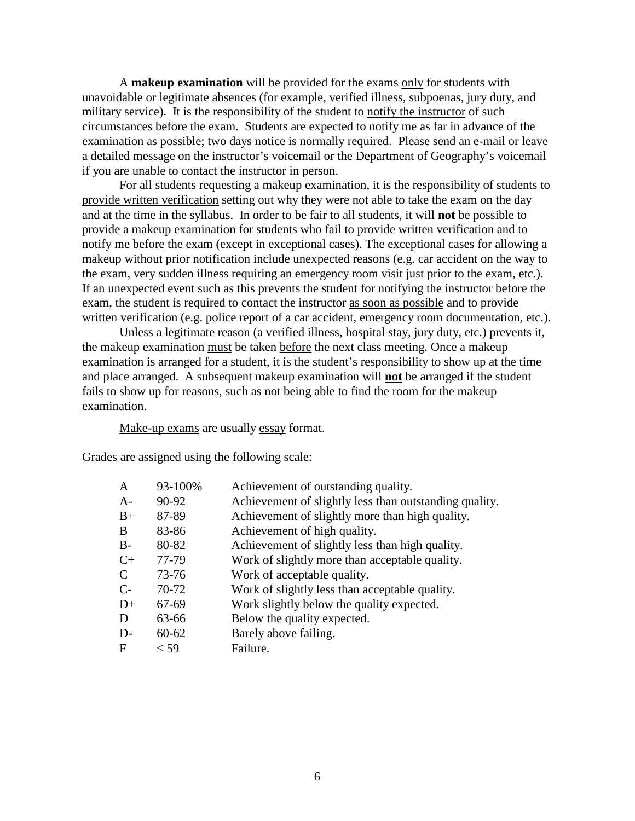A **makeup examination** will be provided for the exams only for students with unavoidable or legitimate absences (for example, verified illness, subpoenas, jury duty, and military service). It is the responsibility of the student to notify the instructor of such circumstances before the exam. Students are expected to notify me as far in advance of the examination as possible; two days notice is normally required. Please send an e-mail or leave a detailed message on the instructor's voicemail or the Department of Geography's voicemail if you are unable to contact the instructor in person.

For all students requesting a makeup examination, it is the responsibility of students to provide written verification setting out why they were not able to take the exam on the day and at the time in the syllabus. In order to be fair to all students, it will **not** be possible to provide a makeup examination for students who fail to provide written verification and to notify me before the exam (except in exceptional cases). The exceptional cases for allowing a makeup without prior notification include unexpected reasons (e.g. car accident on the way to the exam, very sudden illness requiring an emergency room visit just prior to the exam, etc.). If an unexpected event such as this prevents the student for notifying the instructor before the exam, the student is required to contact the instructor as soon as possible and to provide written verification (e.g. police report of a car accident, emergency room documentation, etc.).

Unless a legitimate reason (a verified illness, hospital stay, jury duty, etc.) prevents it, the makeup examination must be taken before the next class meeting. Once a makeup examination is arranged for a student, it is the student's responsibility to show up at the time and place arranged. A subsequent makeup examination will **not** be arranged if the student fails to show up for reasons, such as not being able to find the room for the makeup examination.

Make-up exams are usually essay format.

Grades are assigned using the following scale:

| 93-100%   | Achievement of outstanding quality.                    |
|-----------|--------------------------------------------------------|
| 90-92     | Achievement of slightly less than outstanding quality. |
| 87-89     | Achievement of slightly more than high quality.        |
| 83-86     | Achievement of high quality.                           |
| 80-82     | Achievement of slightly less than high quality.        |
| 77-79     | Work of slightly more than acceptable quality.         |
| $73 - 76$ | Work of acceptable quality.                            |
| 70-72     | Work of slightly less than acceptable quality.         |
| 67-69     | Work slightly below the quality expected.              |
| 63-66     | Below the quality expected.                            |
| $60 - 62$ | Barely above failing.                                  |
| $\leq$ 59 | Failure.                                               |
|           |                                                        |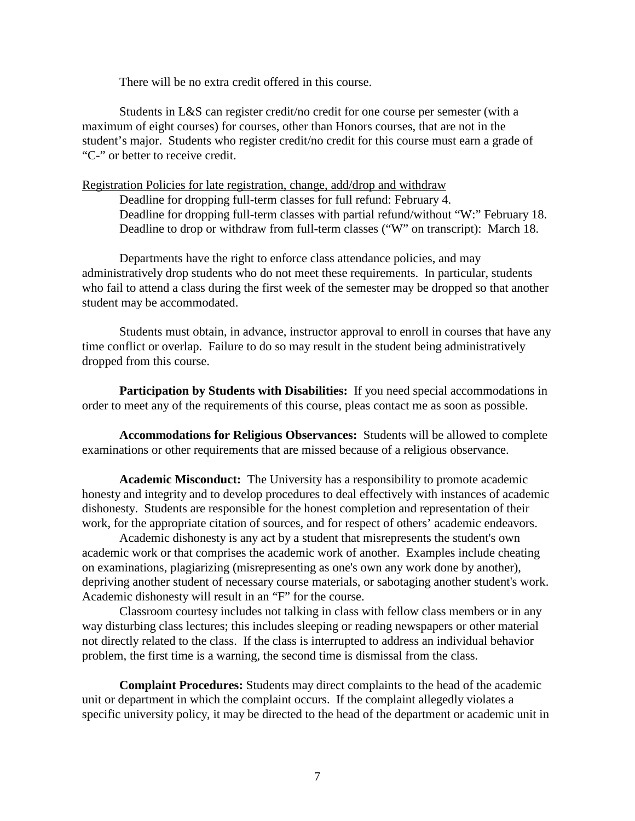There will be no extra credit offered in this course.

Students in L&S can register credit/no credit for one course per semester (with a maximum of eight courses) for courses, other than Honors courses, that are not in the student's major. Students who register credit/no credit for this course must earn a grade of "C-" or better to receive credit.

Registration Policies for late registration, change, add/drop and withdraw

Deadline for dropping full-term classes for full refund: February 4. Deadline for dropping full-term classes with partial refund/without "W:" February 18. Deadline to drop or withdraw from full-term classes ("W" on transcript): March 18.

Departments have the right to enforce class attendance policies, and may administratively drop students who do not meet these requirements. In particular, students who fail to attend a class during the first week of the semester may be dropped so that another student may be accommodated.

Students must obtain, in advance, instructor approval to enroll in courses that have any time conflict or overlap. Failure to do so may result in the student being administratively dropped from this course.

**Participation by Students with Disabilities:** If you need special accommodations in order to meet any of the requirements of this course, pleas contact me as soon as possible.

**Accommodations for Religious Observances:** Students will be allowed to complete examinations or other requirements that are missed because of a religious observance.

**Academic Misconduct:** The University has a responsibility to promote academic honesty and integrity and to develop procedures to deal effectively with instances of academic dishonesty. Students are responsible for the honest completion and representation of their work, for the appropriate citation of sources, and for respect of others' academic endeavors.

Academic dishonesty is any act by a student that misrepresents the student's own academic work or that comprises the academic work of another. Examples include cheating on examinations, plagiarizing (misrepresenting as one's own any work done by another), depriving another student of necessary course materials, or sabotaging another student's work. Academic dishonesty will result in an "F" for the course.

Classroom courtesy includes not talking in class with fellow class members or in any way disturbing class lectures; this includes sleeping or reading newspapers or other material not directly related to the class. If the class is interrupted to address an individual behavior problem, the first time is a warning, the second time is dismissal from the class.

**Complaint Procedures:** Students may direct complaints to the head of the academic unit or department in which the complaint occurs. If the complaint allegedly violates a specific university policy, it may be directed to the head of the department or academic unit in